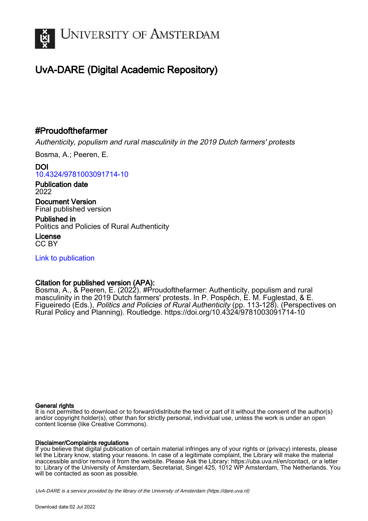

# UvA-DARE (Digital Academic Repository)

# #Proudofthefarmer

Authenticity, populism and rural masculinity in the 2019 Dutch farmers' protests

Bosma, A.; Peeren, E.

DOI [10.4324/9781003091714-10](https://doi.org/10.4324/9781003091714-10)

Publication date 2022

Document Version Final published version

Published in Politics and Policies of Rural Authenticity

License CC BY

[Link to publication](https://dare.uva.nl/personal/pure/en/publications/proudofthefarmer(36d5768a-9c92-429b-8028-3ddeecde5e74).html)

# Citation for published version (APA):

Bosma, A., & Peeren, E. (2022). #Proudofthefarmer: Authenticity, populism and rural masculinity in the 2019 Dutch farmers' protests. In P. Pospěch, E. M. Fuglestad, & E. Figueiredo (Eds.), Politics and Policies of Rural Authenticity (pp. 113-128). (Perspectives on Rural Policy and Planning). Routledge.<https://doi.org/10.4324/9781003091714-10>

### General rights

It is not permitted to download or to forward/distribute the text or part of it without the consent of the author(s) and/or copyright holder(s), other than for strictly personal, individual use, unless the work is under an open content license (like Creative Commons).

# Disclaimer/Complaints regulations

If you believe that digital publication of certain material infringes any of your rights or (privacy) interests, please let the Library know, stating your reasons. In case of a legitimate complaint, the Library will make the material inaccessible and/or remove it from the website. Please Ask the Library: https://uba.uva.nl/en/contact, or a letter to: Library of the University of Amsterdam, Secretariat, Singel 425, 1012 WP Amsterdam, The Netherlands. You will be contacted as soon as possible.

UvA-DARE is a service provided by the library of the University of Amsterdam (http*s*://dare.uva.nl)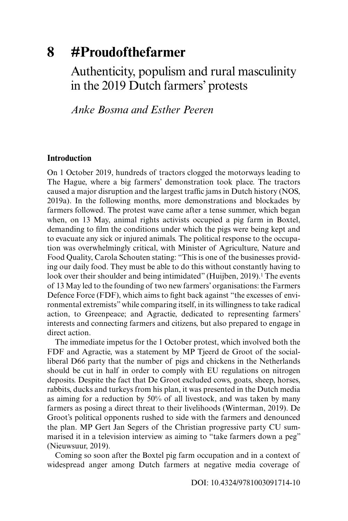# **8 #Proudofthefarmer**

[Authenticity, populism and rural masculinity](#page--1-0) in the 2019 Dutch farmers' protests

*Anke Bosma and Esther Peeren*

#### **Introduction**

On 1 October 2019, hundreds of tractors clogged the motorways leading to The Hague, where a big farmers' demonstration took place. The tractors caused a major disruption and the largest traffic jams in Dutch history (NOS, 2019a). In the following months, more demonstrations and blockades by farmers followed. The protest wave came after a tense summer, which began when, on 13 May, animal rights activists occupied a pig farm in Boxtel, demanding to film the conditions under which the pigs were being kept and to evacuate any sick or injured animals. The political response to the occupation was overwhelmingly critical, with Minister of Agriculture, Nature and Food Quality, Carola Schouten stating: "This is one of the businesses providing our daily food. They must be able to do this without constantly having to look over their shoulder and being intimidated" (Huijben, 2019).<sup>1</sup> The events of 13 May led to the founding of two new farmers' organisations: the Farmers Defence Force (FDF), which aims to fight back against "the excesses of environmental extremists" while comparing itself, in its willingness to take radical action, to Greenpeace; and Agractie, dedicated to representing farmers' interests and connecting farmers and citizens, but also prepared to engage in direct action.

The immediate impetus for the 1 October protest, which involved both the FDF and Agractie, was a statement by MP Tjeerd de Groot of the socialliberal D66 party that the number of pigs and chickens in the Netherlands should be cut in half in order to comply with EU regulations on nitrogen deposits. Despite the fact that De Groot excluded cows, goats, sheep, horses, rabbits, ducks and turkeys from his plan, it was presented in the Dutch media as aiming for a reduction by 50% of all livestock, and was taken by many farmers as posing a direct threat to their livelihoods (Winterman, 2019). De Groot's political opponents rushed to side with the farmers and denounced the plan. MP Gert Jan Segers of the Christian progressive party CU summarised it in a television interview as aiming to "take farmers down a peg" (Nieuwsuur, 2019).

Coming so soon after the Boxtel pig farm occupation and in a context of widespread anger among Dutch farmers at negative media coverage of

DOI: 10.4324/9781003091714-10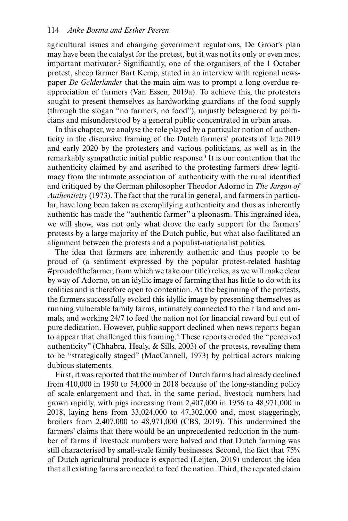agricultural issues and changing government regulations, De Groot's plan may have been the catalyst for the protest, but it was not its only or even most important motivator.2 Significantly, one of the organisers of the 1 October protest, sheep farmer Bart Kemp, stated in an interview with regional newspaper *De Gelderlander* that the main aim was to prompt a long overdue reappreciation of farmers (Van Essen, 2019a). To achieve this, the protesters sought to present themselves as hardworking guardians of the food supply (through the slogan "no farmers, no food"), unjustly beleaguered by politicians and misunderstood by a general public concentrated in urban areas.

In this chapter, we analyse the role played by a particular notion of authenticity in the discursive framing of the Dutch farmers' protests of late 2019 and early 2020 by the protesters and various politicians, as well as in the remarkably sympathetic initial public response.<sup>3</sup> It is our contention that the authenticity claimed by and ascribed to the protesting farmers drew legitimacy from the intimate association of authenticity with the rural identified and critiqued by the German philosopher Theodor Adorno in *The Jargon of Authenticity* (1973). The fact that the rural in general, and farmers in particular, have long been taken as exemplifying authenticity and thus as inherently authentic has made the "authentic farmer" a pleonasm. This ingrained idea, we will show, was not only what drove the early support for the farmers' protests by a large majority of the Dutch public, but what also facilitated an alignment between the protests and a populist-nationalist politics.

The idea that farmers are inherently authentic and thus people to be proud of (a sentiment expressed by the popular protest-related hashtag #proudofthefarmer, from which we take our title) relies, as we will make clear by way of Adorno, on an idyllic image of farming that has little to do with its realities and is therefore open to contention. At the beginning of the protests, the farmers successfully evoked this idyllic image by presenting themselves as running vulnerable family farms, intimately connected to their land and animals, and working 24/7 to feed the nation not for financial reward but out of pure dedication. However, public support declined when news reports began to appear that challenged this framing.<sup>4</sup> These reports eroded the "perceived authenticity" (Chhabra, Healy, & Sills, 2003) of the protests, revealing them to be "strategically staged" (MacCannell, 1973) by political actors making dubious statements.

First, it was reported that the number of Dutch farms had already declined from 410,000 in 1950 to 54,000 in 2018 because of the long-standing policy of scale enlargement and that, in the same period, livestock numbers had grown rapidly, with pigs increasing from 2,407,000 in 1956 to 48,971,000 in 2018, laying hens from 33,024,000 to 47,302,000 and, most staggeringly, broilers from 2,407,000 to 48,971,000 (CBS, 2019). This undermined the farmers' claims that there would be an unprecedented reduction in the number of farms if livestock numbers were halved and that Dutch farming was still characterised by small-scale family businesses. Second, the fact that 75% of Dutch agricultural produce is exported (Leijten, 2019) undercut the idea that all existing farms are needed to feed the nation. Third, the repeated claim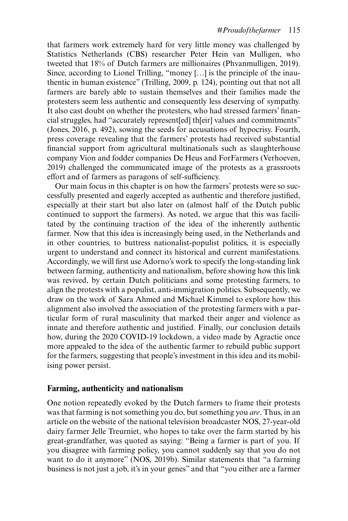that farmers work extremely hard for very little money was challenged by Statistics Netherlands (CBS) researcher Peter Hein van Mulligen, who tweeted that 18% of Dutch farmers are millionaires (Phvanmulligen, 2019). Since, according to Lionel Trilling, "money […] is the principle of the inauthentic in human existence" (Trilling, 2009, p. 124), pointing out that not all farmers are barely able to sustain themselves and their families made the protesters seem less authentic and consequently less deserving of sympathy. It also cast doubt on whether the protesters, who had stressed farmers' financial struggles, had "accurately represent[ed] th[eir] values and commitments" (Jones, 2016, p. 492), sowing the seeds for accusations of hypocrisy. Fourth, press coverage revealing that the farmers' protests had received substantial financial support from agricultural multinationals such as slaughterhouse company Vion and fodder companies De Heus and ForFarmers (Verhoeven, 2019) challenged the communicated image of the protests as a grassroots effort and of farmers as paragons of self-sufficiency.

Our main focus in this chapter is on how the farmers' protests were so successfully presented and eagerly accepted as authentic and therefore justified, especially at their start but also later on (almost half of the Dutch public continued to support the farmers). As noted, we argue that this was facilitated by the continuing traction of the idea of the inherently authentic farmer. Now that this idea is increasingly being used, in the Netherlands and in other countries, to buttress nationalist-populist politics, it is especially urgent to understand and connect its historical and current manifestations. Accordingly, we will first use Adorno's work to specify the long-standing link between farming, authenticity and nationalism, before showing how this link was revived, by certain Dutch politicians and some protesting farmers, to align the protests with a populist, anti-immigration politics. Subsequently, we draw on the work of Sara Ahmed and Michael Kimmel to explore how this alignment also involved the association of the protesting farmers with a particular form of rural masculinity that marked their anger and violence as innate and therefore authentic and justified. Finally, our conclusion details how, during the 2020 COVID-19 lockdown, a video made by Agractie once more appealed to the idea of the authentic farmer to rebuild public support for the farmers, suggesting that people's investment in this idea and its mobilising power persist.

#### **Farming, authenticity and nationalism**

One notion repeatedly evoked by the Dutch farmers to frame their protests was that farming is not something you do, but something you *are*. Thus, in an article on the website of the national television broadcaster NOS, 27-year-old dairy farmer Jelle Treurniet, who hopes to take over the farm started by his great-grandfather, was quoted as saying: "Being a farmer is part of you. If you disagree with farming policy, you cannot suddenly say that you do not want to do it anymore" (NOS, 2019b). Similar statements that "a farming business is not just a job, it's in your genes" and that "you either are a farmer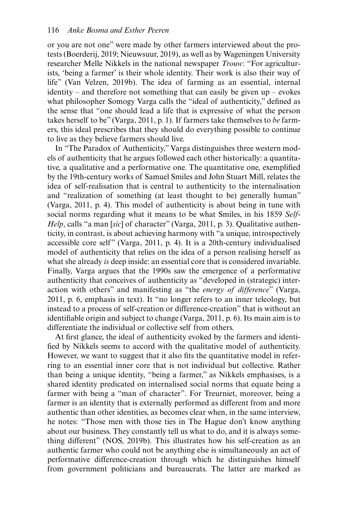or you are not one" were made by other farmers interviewed about the protests (Boerderij, 2019; Nieuwsuur, 2019), as well as by Wageningen University researcher Melle Nikkels in the national newspaper *Trouw*: "For agriculturists, 'being a farmer' is their whole identity. Their work is also their way of life" (Van Velzen, 2019b). The idea of farming as an essential, internal identity – and therefore not something that can easily be given up – evokes what philosopher Somogy Varga calls the "ideal of authenticity," defined as the sense that "one should lead a life that is expressive of what the person takes herself to be" (Varga, 2011, p. 1). If farmers take themselves to *be* farmers, this ideal prescribes that they should do everything possible to continue to live as they believe farmers should live.

In "The Paradox of Authenticity," Varga distinguishes three western models of authenticity that he argues followed each other historically: a quantitative, a qualitative and a performative one. The quantitative one, exemplified by the 19th-century works of Samuel Smiles and John Stuart Mill, relates the idea of self-realisation that is central to authenticity to the internalisation and "realization of something (at least thought to be) generally human" (Varga, 2011, p. 4). This model of authenticity is about being in tune with social norms regarding what it means to be what Smiles, in his 1859 *Self-Help*, calls "a man [*sic*] of character" (Varga, 2011, p. 3). Qualitative authenticity, in contrast, is about achieving harmony with "a unique, introspectively accessible core self" (Varga, 2011, p. 4). It is a 20th-century individualised model of authenticity that relies on the idea of a person realising herself as what she already *is* deep inside: an essential core that is considered invariable. Finally, Varga argues that the 1990s saw the emergence of a performative authenticity that conceives of authenticity as "developed in (strategic) interaction with others" and manifesting as "the *energy of difference*" (Varga, 2011, p. 6, emphasis in text). It "no longer refers to an inner teleology, but instead to a process of self-creation or difference-creation" that is without an identifiable origin and subject to change (Varga, 2011, p. 6). Its main aim is to differentiate the individual or collective self from others.

At first glance, the ideal of authenticity evoked by the farmers and identified by Nikkels seems to accord with the qualitative model of authenticity. However, we want to suggest that it also fits the quantitative model in referring to an essential inner core that is not individual but collective. Rather than being a unique identity, "being a farmer," as Nikkels emphasises, is a shared identity predicated on internalised social norms that equate being a farmer with being a "man of character". For Treurniet, moreover, being a farmer is an identity that is externally performed as different from and more authentic than other identities, as becomes clear when, in the same interview, he notes: "Those men with those ties in The Hague don't know anything about our business. They constantly tell us what to do, and it is always something different" (NOS, 2019b). This illustrates how his self-creation as an authentic farmer who could not be anything else is simultaneously an act of performative difference-creation through which he distinguishes himself from government politicians and bureaucrats. The latter are marked as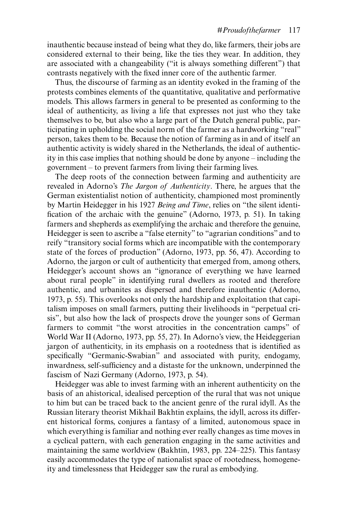inauthentic because instead of being what they do, like farmers, their jobs are considered external to their being, like the ties they wear. In addition, they are associated with a changeability ("it is always something different") that contrasts negatively with the fixed inner core of the authentic farmer.

Thus, the discourse of farming as an identity evoked in the framing of the protests combines elements of the quantitative, qualitative and performative models. This allows farmers in general to be presented as conforming to the ideal of authenticity, as living a life that expresses not just who they take themselves to be, but also who a large part of the Dutch general public, participating in upholding the social norm of the farmer as a hardworking "real" person, takes them to be. Because the notion of farming as in and of itself an authentic activity is widely shared in the Netherlands, the ideal of authenticity in this case implies that nothing should be done by anyone – including the government – to prevent farmers from living their farming lives.

The deep roots of the connection between farming and authenticity are revealed in Adorno's *The Jargon of Authenticity*. There, he argues that the German existentialist notion of authenticity, championed most prominently by Martin Heidegger in his 1927 *Being and Time*, relies on "the silent identification of the archaic with the genuine" (Adorno, 1973, p. 51). In taking farmers and shepherds as exemplifying the archaic and therefore the genuine, Heidegger is seen to ascribe a "false eternity" to "agrarian conditions" and to reify "transitory social forms which are incompatible with the contemporary state of the forces of production" (Adorno, 1973, pp. 56, 47). According to Adorno, the jargon or cult of authenticity that emerged from, among others, Heidegger's account shows an "ignorance of everything we have learned about rural people" in identifying rural dwellers as rooted and therefore authentic, and urbanites as dispersed and therefore inauthentic (Adorno, 1973, p. 55). This overlooks not only the hardship and exploitation that capitalism imposes on small farmers, putting their livelihoods in "perpetual crisis", but also how the lack of prospects drove the younger sons of German farmers to commit "the worst atrocities in the concentration camps" of World War II (Adorno, 1973, pp. 55, 27). In Adorno's view, the Heideggerian jargon of authenticity, in its emphasis on a rootedness that is identified as specifically "Germanic-Swabian" and associated with purity, endogamy, inwardness, self-sufficiency and a distaste for the unknown, underpinned the fascism of Nazi Germany (Adorno, 1973, p. 54).

Heidegger was able to invest farming with an inherent authenticity on the basis of an ahistorical, idealised perception of the rural that was not unique to him but can be traced back to the ancient genre of the rural idyll. As the Russian literary theorist Mikhail Bakhtin explains, the idyll, across its different historical forms, conjures a fantasy of a limited, autonomous space in which everything is familiar and nothing ever really changes as time moves in a cyclical pattern, with each generation engaging in the same activities and maintaining the same worldview (Bakhtin, 1983, pp. 224–225). This fantasy easily accommodates the type of nationalist space of rootedness, homogeneity and timelessness that Heidegger saw the rural as embodying.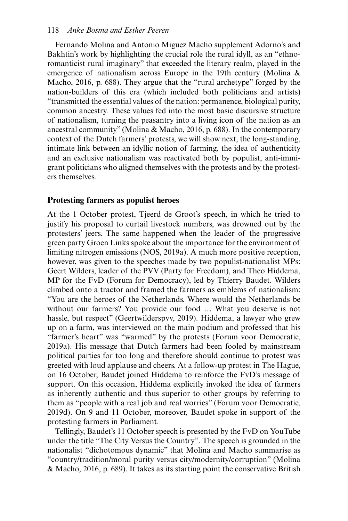#### 118 *Anke Bosma and Esther Peeren*

Fernando Molina and Antonio Miguez Macho supplement Adorno's and Bakhtin's work by highlighting the crucial role the rural idyll, as an "ethnoromanticist rural imaginary" that exceeded the literary realm, played in the emergence of nationalism across Europe in the 19th century (Molina & Macho, 2016, p. 688). They argue that the "rural archetype" forged by the nation-builders of this era (which included both politicians and artists) "transmitted the essential values of the nation: permanence, biological purity, common ancestry. These values fed into the most basic discursive structure of nationalism, turning the peasantry into a living icon of the nation as an ancestral community" (Molina & Macho, 2016, p. 688). In the contemporary context of the Dutch farmers' protests, we will show next, the long-standing, intimate link between an idyllic notion of farming, the idea of authenticity and an exclusive nationalism was reactivated both by populist, anti-immigrant politicians who aligned themselves with the protests and by the protesters themselves.

#### **Protesting farmers as populist heroes**

At the 1 October protest, Tjeerd de Groot's speech, in which he tried to justify his proposal to curtail livestock numbers, was drowned out by the protesters' jeers. The same happened when the leader of the progressive green party Groen Links spoke about the importance for the environment of limiting nitrogen emissions (NOS, 2019a). A much more positive reception, however, was given to the speeches made by two populist-nationalist MPs: Geert Wilders, leader of the PVV (Party for Freedom), and Theo Hiddema, MP for the FvD (Forum for Democracy), led by Thierry Baudet. Wilders climbed onto a tractor and framed the farmers as emblems of nationalism: "You are the heroes of the Netherlands. Where would the Netherlands be without our farmers? You provide our food … What you deserve is not hassle, but respect" (Geertwilderspvv, 2019). Hiddema, a lawyer who grew up on a farm, was interviewed on the main podium and professed that his "farmer's heart" was "warmed" by the protests (Forum voor Democratie, 2019a). His message that Dutch farmers had been fooled by mainstream political parties for too long and therefore should continue to protest was greeted with loud applause and cheers. At a follow-up protest in The Hague, on 16 October, Baudet joined Hiddema to reinforce the FvD's message of support. On this occasion, Hiddema explicitly invoked the idea of farmers as inherently authentic and thus superior to other groups by referring to them as "people with a real job and real worries" (Forum voor Democratie, 2019d). On 9 and 11 October, moreover, Baudet spoke in support of the protesting farmers in Parliament.

Tellingly, Baudet's 11 October speech is presented by the FvD on YouTube under the title "The City Versus the Country". The speech is grounded in the nationalist "dichotomous dynamic" that Molina and Macho summarise as "country/tradition/moral purity versus city/modernity/corruption" (Molina & Macho, 2016, p. 689). It takes as its starting point the conservative British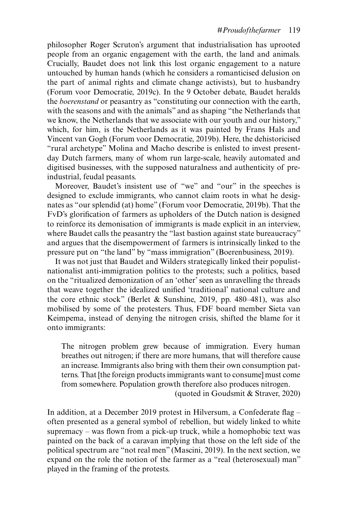philosopher Roger Scruton's argument that industrialisation has uprooted people from an organic engagement with the earth, the land and animals. Crucially, Baudet does not link this lost organic engagement to a nature untouched by human hands (which he considers a romanticised delusion on the part of animal rights and climate change activists), but to husbandry (Forum voor Democratie, 2019c). In the 9 October debate, Baudet heralds the *boerenstand* or peasantry as "constituting our connection with the earth, with the seasons and with the animals" and as shaping "the Netherlands that we know, the Netherlands that we associate with our youth and our history," which, for him, is the Netherlands as it was painted by Frans Hals and Vincent van Gogh (Forum voor Democratie, 2019b). Here, the dehistoricised "rural archetype" Molina and Macho describe is enlisted to invest presentday Dutch farmers, many of whom run large-scale, heavily automated and digitised businesses, with the supposed naturalness and authenticity of preindustrial, feudal peasants.

Moreover, Baudet's insistent use of "we" and "our" in the speeches is designed to exclude immigrants, who cannot claim roots in what he designates as "our splendid (at) home" (Forum voor Democratie, 2019b). That the FvD's glorification of farmers as upholders of the Dutch nation is designed to reinforce its demonisation of immigrants is made explicit in an interview, where Baudet calls the peasantry the "last bastion against state bureaucracy" and argues that the disempowerment of farmers is intrinsically linked to the pressure put on "the land" by "mass immigration" (Boerenbusiness, 2019).

It was not just that Baudet and Wilders strategically linked their populistnationalist anti-immigration politics to the protests; such a politics, based on the "ritualized demonization of an 'other' seen as unravelling the threads that weave together the idealized unified 'traditional' national culture and the core ethnic stock" (Berlet & Sunshine, 2019, pp. 480–481), was also mobilised by some of the protesters. Thus, FDF board member Sieta van Keimpema, instead of denying the nitrogen crisis, shifted the blame for it onto immigrants:

The nitrogen problem grew because of immigration. Every human breathes out nitrogen; if there are more humans, that will therefore cause an increase. Immigrants also bring with them their own consumption patterns. That [the foreign products immigrants want to consume] must come from somewhere. Population growth therefore also produces nitrogen.

(quoted in Goudsmit & Straver, 2020)

In addition, at a December 2019 protest in Hilversum, a Confederate flag – often presented as a general symbol of rebellion, but widely linked to white supremacy – was flown from a pick-up truck, while a homophobic text was painted on the back of a caravan implying that those on the left side of the political spectrum are "not real men" (Mascini, 2019). In the next section, we expand on the role the notion of the farmer as a "real (heterosexual) man" played in the framing of the protests.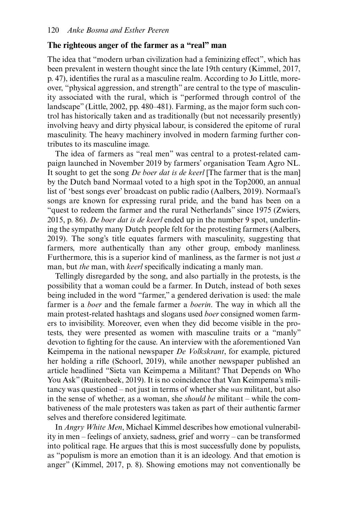#### **The righteous anger of the farmer as a "real" man**

The idea that "modern urban civilization had a feminizing effect", which has been prevalent in western thought since the late 19th century (Kimmel, 2017, p. 47), identifies the rural as a masculine realm. According to Jo Little, moreover, "physical aggression, and strength" are central to the type of masculinity associated with the rural, which is "performed through control of the landscape" (Little, 2002, pp. 480–481). Farming, as the major form such control has historically taken and as traditionally (but not necessarily presently) involving heavy and dirty physical labour, is considered the epitome of rural masculinity. The heavy machinery involved in modern farming further contributes to its masculine image.

The idea of farmers as "real men" was central to a protest-related campaign launched in November 2019 by farmers' organisation Team Agro NL. It sought to get the song *De boer dat is de keerl* [The farmer that is the man] by the Dutch band Normaal voted to a high spot in the Top2000, an annual list of 'best songs ever' broadcast on public radio (Aalbers, 2019). Normaal's songs are known for expressing rural pride, and the band has been on a "quest to redeem the farmer and the rural Netherlands" since 1975 (Zwiers, 2015, p. 86). *De boer dat is de keerl* ended up in the number 9 spot, underlining the sympathy many Dutch people felt for the protesting farmers (Aalbers, 2019). The song's title equates farmers with masculinity, suggesting that farmers, more authentically than any other group, embody manliness. Furthermore, this is a superior kind of manliness, as the farmer is not just *a* man, but *the* man, with *keerl* specifically indicating a manly man.

Tellingly disregarded by the song, and also partially in the protests, is the possibility that a woman could be a farmer. In Dutch, instead of both sexes being included in the word "farmer," a gendered derivation is used: the male farmer is a *boer* and the female farmer a *boerin*. The way in which all the main protest-related hashtags and slogans used *boer* consigned women farmers to invisibility. Moreover, even when they did become visible in the protests, they were presented as women with masculine traits or a "manly" devotion to fighting for the cause. An interview with the aforementioned Van Keimpema in the national newspaper *De Volkskrant*, for example, pictured her holding a rifle (Schoorl, 2019), while another newspaper published an article headlined "Sieta van Keimpema a Militant? That Depends on Who You Ask" (Ruitenbeek, 2019). It is no coincidence that Van Keimpema's militancy was questioned – not just in terms of whether she *was* militant, but also in the sense of whether, as a woman, she *should be* militant – while the combativeness of the male protesters was taken as part of their authentic farmer selves and therefore considered legitimate.

In *Angry White Men*, Michael Kimmel describes how emotional vulnerability in men – feelings of anxiety, sadness, grief and worry – can be transformed into political rage. He argues that this is most successfully done by populists, as "populism is more an emotion than it is an ideology. And that emotion is anger" (Kimmel, 2017, p. 8). Showing emotions may not conventionally be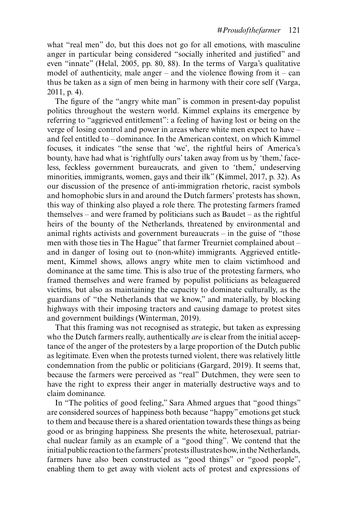what "real men" do, but this does not go for all emotions, with masculine anger in particular being considered "socially inherited and justified" and even "innate" (Helal, 2005, pp. 80, 88). In the terms of Varga's qualitative model of authenticity, male anger – and the violence flowing from  $it - can$ thus be taken as a sign of men being in harmony with their core self (Varga, 2011, p. 4).

The figure of the "angry white man" is common in present-day populist politics throughout the western world. Kimmel explains its emergence by referring to "aggrieved entitlement": a feeling of having lost or being on the verge of losing control and power in areas where white men expect to have – and feel entitled to – dominance. In the American context, on which Kimmel focuses, it indicates "the sense that 'we', the rightful heirs of America's bounty, have had what is 'rightfully ours' taken away from us by 'them,' faceless, feckless government bureaucrats, and given to 'them,' undeserving minorities, immigrants, women, gays and their ilk" (Kimmel, 2017, p. 32). As our discussion of the presence of anti-immigration rhetoric, racist symbols and homophobic slurs in and around the Dutch farmers' protests has shown, this way of thinking also played a role there. The protesting farmers framed themselves – and were framed by politicians such as Baudet – as the rightful heirs of the bounty of the Netherlands, threatened by environmental and animal rights activists and government bureaucrats – in the guise of "those men with those ties in The Hague" that farmer Treurniet complained about – and in danger of losing out to (non-white) immigrants. Aggrieved entitlement, Kimmel shows, allows angry white men to claim victimhood and dominance at the same time. This is also true of the protesting farmers, who framed themselves and were framed by populist politicians as beleaguered victims, but also as maintaining the capacity to dominate culturally, as the guardians of "the Netherlands that we know," and materially, by blocking highways with their imposing tractors and causing damage to protest sites and government buildings (Winterman, 2019).

That this framing was not recognised as strategic, but taken as expressing who the Dutch farmers really, authentically *are* is clear from the initial acceptance of the anger of the protesters by a large proportion of the Dutch public as legitimate. Even when the protests turned violent, there was relatively little condemnation from the public or politicians (Gargard, 2019). It seems that, because the farmers were perceived as "real" Dutchmen, they were seen to have the right to express their anger in materially destructive ways and to claim dominance.

In "The politics of good feeling," Sara Ahmed argues that "good things" are considered sources of happiness both because "happy" emotions get stuck to them and because there is a shared orientation towards these things as being good or as bringing happiness. She presents the white, heterosexual, patriarchal nuclear family as an example of a "good thing". We contend that the initial public reaction to the farmers' protests illustrates how, in the Netherlands, farmers have also been constructed as "good things" or "good people", enabling them to get away with violent acts of protest and expressions of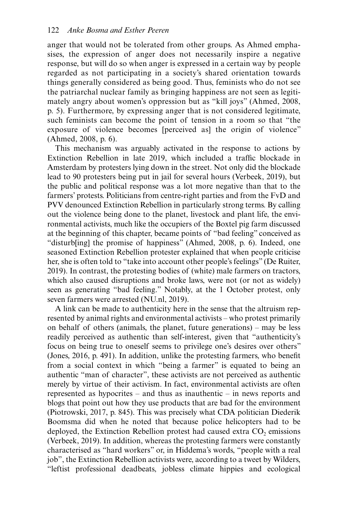anger that would not be tolerated from other groups. As Ahmed emphasises, the expression of anger does not necessarily inspire a negative response, but will do so when anger is expressed in a certain way by people regarded as not participating in a society's shared orientation towards things generally considered as being good. Thus, feminists who do not see the patriarchal nuclear family as bringing happiness are not seen as legitimately angry about women's oppression but as "kill joys" (Ahmed, 2008, p. 5). Furthermore, by expressing anger that is not considered legitimate, such feminists can become the point of tension in a room so that "the exposure of violence becomes [perceived as] the origin of violence" (Ahmed, 2008, p. 6).

This mechanism was arguably activated in the response to actions by Extinction Rebellion in late 2019, which included a traffic blockade in Amsterdam by protesters lying down in the street. Not only did the blockade lead to 90 protesters being put in jail for several hours (Verbeek, 2019), but the public and political response was a lot more negative than that to the farmers' protests. Politicians from centre-right parties and from the FvD and PVV denounced Extinction Rebellion in particularly strong terms. By calling out the violence being done to the planet, livestock and plant life, the environmental activists, much like the occupiers of the Boxtel pig farm discussed at the beginning of this chapter, became points of "bad feeling" conceived as "disturb[ing] the promise of happiness" (Ahmed, 2008, p. 6). Indeed, one seasoned Extinction Rebellion protester explained that when people criticise her, she is often told to "take into account other people's feelings" (De Ruiter, 2019). In contrast, the protesting bodies of (white) male farmers on tractors, which also caused disruptions and broke laws, were not (or not as widely) seen as generating "bad feeling." Notably, at the 1 October protest, only seven farmers were arrested (NU.nl, 2019).

A link can be made to authenticity here in the sense that the altruism represented by animal rights and environmental activists – who protest primarily on behalf of others (animals, the planet, future generations) – may be less readily perceived as authentic than self-interest, given that "authenticity's focus on being true to oneself seems to privilege one's desires over others" (Jones, 2016, p. 491). In addition, unlike the protesting farmers, who benefit from a social context in which "being a farmer" is equated to being an authentic "man of character", these activists are not perceived as authentic merely by virtue of their activism. In fact, environmental activists are often represented as hypocrites – and thus as inauthentic – in news reports and blogs that point out how they use products that are bad for the environment (Piotrowski, 2017, p. 845). This was precisely what CDA politician Diederik Boomsma did when he noted that because police helicopters had to be deployed, the Extinction Rebellion protest had caused extra CO<sub>2</sub> emissions (Verbeek, 2019). In addition, whereas the protesting farmers were constantly characterised as "hard workers" or, in Hiddema's words, "people with a real job", the Extinction Rebellion activists were, according to a tweet by Wilders, "leftist professional deadbeats, jobless climate hippies and ecological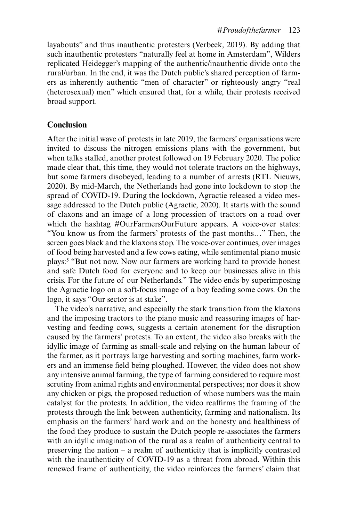layabouts" and thus inauthentic protesters (Verbeek, 2019). By adding that such inauthentic protesters "naturally feel at home in Amsterdam", Wilders replicated Heidegger's mapping of the authentic/inauthentic divide onto the rural/urban. In the end, it was the Dutch public's shared perception of farmers as inherently authentic "men of character" or righteously angry "real (heterosexual) men" which ensured that, for a while, their protests received broad support.

### **Conclusion**

After the initial wave of protests in late 2019, the farmers' organisations were invited to discuss the nitrogen emissions plans with the government, but when talks stalled, another protest followed on 19 February 2020. The police made clear that, this time, they would not tolerate tractors on the highways, but some farmers disobeyed, leading to a number of arrests (RTL Nieuws, 2020). By mid-March, the Netherlands had gone into lockdown to stop the spread of COVID-19. During the lockdown, Agractie released a video message addressed to the Dutch public (Agractie, 2020). It starts with the sound of claxons and an image of a long procession of tractors on a road over which the hashtag #OurFarmersOurFuture appears. A voice-over states: "You know us from the farmers' protests of the past months…" Then, the screen goes black and the klaxons stop. The voice-over continues, over images of food being harvested and a few cows eating, while sentimental piano music plays:5 "But not now. Now our farmers are working hard to provide honest and safe Dutch food for everyone and to keep our businesses alive in this crisis. For the future of our Netherlands." The video ends by superimposing the Agractie logo on a soft-focus image of a boy feeding some cows. On the logo, it says "Our sector is at stake".

The video's narrative, and especially the stark transition from the klaxons and the imposing tractors to the piano music and reassuring images of harvesting and feeding cows, suggests a certain atonement for the disruption caused by the farmers' protests. To an extent, the video also breaks with the idyllic image of farming as small-scale and relying on the human labour of the farmer, as it portrays large harvesting and sorting machines, farm workers and an immense field being ploughed. However, the video does not show any intensive animal farming, the type of farming considered to require most scrutiny from animal rights and environmental perspectives; nor does it show any chicken or pigs, the proposed reduction of whose numbers was the main catalyst for the protests. In addition, the video reaffirms the framing of the protests through the link between authenticity, farming and nationalism. Its emphasis on the farmers' hard work and on the honesty and healthiness of the food they produce to sustain the Dutch people re-associates the farmers with an idyllic imagination of the rural as a realm of authenticity central to preserving the nation – a realm of authenticity that is implicitly contrasted with the inauthenticity of COVID-19 as a threat from abroad. Within this renewed frame of authenticity, the video reinforces the farmers' claim that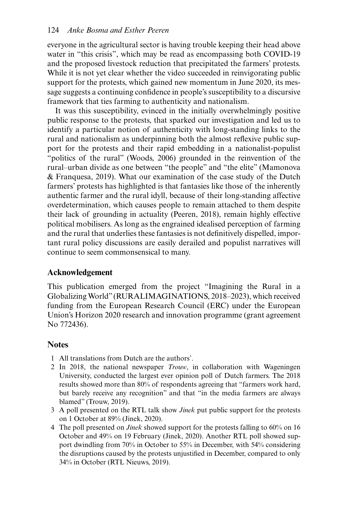# 124 *Anke Bosma and Esther Peeren*

everyone in the agricultural sector is having trouble keeping their head above water in "this crisis", which may be read as encompassing both COVID-19 and the proposed livestock reduction that precipitated the farmers' protests. While it is not yet clear whether the video succeeded in reinvigorating public support for the protests, which gained new momentum in June 2020, its message suggests a continuing confidence in people's susceptibility to a discursive framework that ties farming to authenticity and nationalism.

It was this susceptibility, evinced in the initially overwhelmingly positive public response to the protests, that sparked our investigation and led us to identify a particular notion of authenticity with long-standing links to the rural and nationalism as underpinning both the almost reflexive public support for the protests and their rapid embedding in a nationalist-populist "politics of the rural" (Woods, 2006) grounded in the reinvention of the rural–urban divide as one between "the people" and "the elite" (Mamonova & Franquesa, 2019). What our examination of the case study of the Dutch farmers' protests has highlighted is that fantasies like those of the inherently authentic farmer and the rural idyll, because of their long-standing affective overdetermination, which causes people to remain attached to them despite their lack of grounding in actuality (Peeren, 2018), remain highly effective political mobilisers. As long as the engrained idealised perception of farming and the rural that underlies these fantasies is not definitively dispelled, important rural policy discussions are easily derailed and populist narratives will continue to seem commonsensical to many.

# **Acknowledgement**

This publication emerged from the project "Imagining the Rural in a Globalizing World" (RURALIMAGINATIONS, 2018–2023), which received funding from the European Research Council (ERC) under the European Union's Horizon 2020 research and innovation programme (grant agreement No 772436).

# **Notes**

- 1 All translations from Dutch are the authors'.
- 2 In 2018, the national newspaper *Trouw*, in collaboration with Wageningen University, conducted the largest ever opinion poll of Dutch farmers. The 2018 results showed more than 80% of respondents agreeing that "farmers work hard, but barely receive any recognition" and that "in the media farmers are always blamed" (Trouw, 2019).
- 3 A poll presented on the RTL talk show *Jinek* put public support for the protests on 1 October at 89% (Jinek, 2020).
- 4 The poll presented on *Jinek* showed support for the protests falling to 60% on 16 October and 49% on 19 February (Jinek, 2020). Another RTL poll showed support dwindling from 70% in October to 55% in December, with 54% considering the disruptions caused by the protests unjustified in December, compared to only 34% in October (RTL Nieuws, 2019).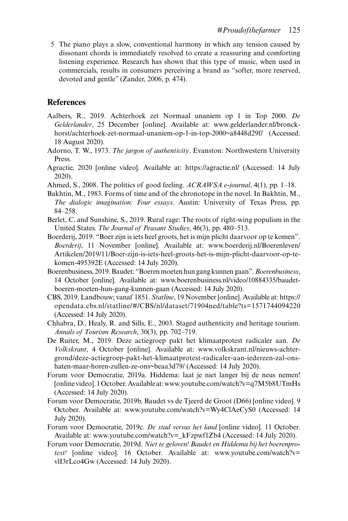5 The piano plays a slow, conventional harmony in which any tension caused by dissonant chords is immediately resolved to create a reassuring and comforting listening experience. Research has shown that this type of music, when used in commercials, results in consumers perceiving a brand as "softer, more reserved, devoted and gentle" (Zander, 2006, p. 474).

# **References**

- Aalbers, R., 2019. Achterhoek zet Normaal unaniem op 1 in Top 2000. *De Gelderlander*, 25 December [online]. Available at: [www.gelderlander.nl/bronck](http://www.gelderlander.nl)[horst/achterhoek-zet-normaal-unaniem-op-1-in-top-2000~a8448d29f/](http://www.gelderlander.nl) (Accessed: 18 August 2020).
- Adorno, T. W., 1973. *The jargon of authenticity*. Evanston: Northwestern University Press.
- Agractie, 2020 [online video]. Available at: [https://agractie.nl/](https://agractie.nl) (Accessed: 14 July 2020).
- Ahmed, S., 2008. The politics of good feeling. *ACRAWSA e-journal*, 4(1), pp. 1–18.
- Bakhtin, M., 1983. Forms of time and of the chronotope in the novel. In Bakhtin, M., *The dialogic imagination: Four essays*. Austin: University of Texas Press, pp. 84–258.
- Berlet, C. and Sunshine, S., 2019. Rural rage: The roots of right-wing populism in the United States. *The Journal of Peasant Studies*, 46(3), pp. 480–513.
- Boerderij, 2019. "Boer zijn is iets heel groots, het is mijn plicht daarvoor op te komen". *Boerderij*, 11 November [online]. Available at: [www.boerderij.nl/Boerenleven/](http://www.boerderij.nl) [Artikelen/2019/11/Boer-zijn-is-iets-heel-groots-het-is-mijn-plicht-daarvoor-op-te](http://www.boerderij.nl)[komen-495392E](http://www.boerderij.nl) (Accessed: 14 July 2020).
- Boerenbusiness, 2019. Baudet: "Boeren moeten hun gang kunnen gaan". *Boerenbusiness*, 14 October [online]. Available at: [www.boerenbusiness.nl/video/10884335/baudet](http://www.boerenbusiness.nl)[boeren-moeten-hun-gang-kunnen-gaan](http://www.boerenbusiness.nl) (Accessed: 14 July 2020).
- CBS, 2019. Landbouw; vanaf 1851. *Statline*, 19 November [online]. Available at: [https://](https://opendata.cbs.nl) [opendata.cbs.nl/statline/#/CBS/nl/dataset/71904ned/table?ts=1571744094220](https://opendata.cbs.nl) (Accessed: 14 July 2020).
- Chhabra, D., Healy, R. and Sills, E., 2003. Staged authenticity and heritage tourism. *Annals of Tourism Research*, 30(3), pp. 702–719.
- De Ruiter, M., 2019. Deze actiegroep pakt het klimaatprotest radicaler aan. *De Volkskrant*, 4 October [online]. Available at: [www.volkskrant.nl/nieuws-achter](http://www.volkskrant.nl)[grond/deze-actiegroep-pakt-het-klimaatprotest-radicaler-aan-iedereen-zal-ons](http://www.volkskrant.nl)[haten-maar-horen-zullen-ze-ons~beaa3d79/](http://www.volkskrant.nl) (Accessed: 14 July 2020).
- Forum voor Democratie, 2019a. Hiddema: laat je niet langer bij de neus nemen! [online video]. 1 October. Available at: [www.youtube.com/watch?v=q7M5b8UTmHs](http://www.youtube.com) (Accessed: 14 July 2020).
- Forum voor Democratie, 2019b. Baudet vs de Tjeerd de Groot (D66) [online video]. 9 October. Available at: [www.youtube.com/watch?v=Wy4ClAeCyS0](http://www.youtube.com) (Accessed: 14 July 2020).
- Forum voor Democratie, 2019c. *De stad versus het land* [online video]. 11 October. Available at: [www.youtube.com/watch?v=\\_kFzpwf1Zb4](http://www.youtube.com) (Accessed: 14 July 2020).
- Forum voor Democratie, 2019d. *Niet te geloven! Baudet en Hiddema bij het boerenprotest!* [online video]. 16 October. Available at: [www.youtube.com/watch?v=](http://www.youtube.com) [vlI3rLco4Gw](http://www.youtube.com) (Accessed: 14 July 2020).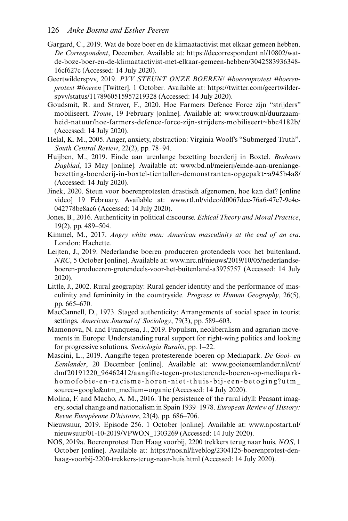- Gargard, C., 2019. Wat de boze boer en de klimaatactivist met elkaar gemeen hebben. *De Correspondent*, December. Available at: [https://decorrespondent.nl/10802/wat](https://decorrespondent.nl)[de-boze-boer-en-de-klimaatactivist-met-elkaar-gemeen-hebben/3042583936348-](https://decorrespondent.nl) [16cf627c](https://decorrespondent.nl) (Accessed: 14 July 2020).
- Geertwilderspvv, 2019. *PVV STEUNT ONZE BOEREN! #boerenprotest #boerenprotest #boeren* [Twitter]. 1 October. Available at: [https://twitter.com/geertwilder](https://twitter.com)[spvv/status/1178960515957219328](https://twitter.com) (Accessed: 14 July 2020).
- Goudsmit, R. and Straver, F., 2020. Hoe Farmers Defence Force zijn "strijders" mobiliseert. *Trouw*, 19 February [online]. Available at: [www.trouw.nl/duurzaam](http://www.trouw.nl)[heid-natuur/hoe-farmers-defence-force-zijn-strijders-mobiliseert~bbc4182b/](http://www.trouw.nl) (Accessed: 14 July 2020).
- Helal, K. M., 2005. Anger, anxiety, abstraction: Virginia Woolf's "Submerged Truth". *South Central Review*, 22(2), pp. 78–94.
- Huijben, M., 2019. Einde aan urenlange bezetting boerderij in Boxtel. *Brabants Dagblad*, 13 May [online]. Available at: [www.bd.nl/meierij/einde-aan-urenlange](http://www.bd.nl)[bezetting-boerderij-in-boxtel-tientallen-demonstranten-opgepakt~a945b4a8/](http://www.bd.nl) (Accessed: 14 July 2020).
- Jinek, 2020. Steun voor boerenprotesten drastisch afgenomen, hoe kan dat? [online video] 19 February. Available at: [www.rtl.nl/video/d0067dec-76a6-47c7-9c4c-](http://www.rtl.nl)[042778be8ac6](http://www.rtl.nl) (Accessed: 14 July 2020).
- Jones, B., 2016. Authenticity in political discourse. *Ethical Theory and Moral Practice*, 19(2), pp. 489–504.
- Kimmel, M., 2017. *Angry white men: American masculinity at the end of an era*. London: Hachette.
- Leijten, J., 2019. Nederlandse boeren produceren grotendeels voor het buitenland. *NRC*, 5 October [online]. Available at: [www.nrc.nl/nieuws/2019/10/05/nederlandse](http://www.nrc.nl)[boeren-produceren-grotendeels-voor-het-buitenland-a3975757](http://www.nrc.nl) (Accessed: 14 July 2020).
- Little, J., 2002. Rural geography: Rural gender identity and the performance of masculinity and femininity in the countryside. *Progress in Human Geography*, 26(5), pp. 665–670.
- MacCannell, D., 1973. Staged authenticity: Arrangements of social space in tourist settings. *American Journal of Sociology*, 79(3), pp. 589–603.
- Mamonova, N. and Franquesa, J., 2019. Populism, neoliberalism and agrarian movements in Europe: Understanding rural support for right-wing politics and looking for progressive solutions. *Sociologia Ruralis*, pp. 1–22.
- Mascini, L., 2019. Aangifte tegen protesterende boeren op Mediapark. *De Gooi- en Eemlander*, 20 December [online]. Available at: [www.gooieneemlander.nl/cnt/](http://www.gooieneemlander.nl) [dmf20191220\\_96462412/aangifte-tegen-protesterende-boeren-op-mediapark](http://www.gooieneemlander.nl)[homofobie-en-racisme-horen-niet-thuis-bij-een-betoging?utm\\_](http://www.gooieneemlander.nl) [source=google&utm\\_medium=organic](http://www.gooieneemlander.nl) (Accessed: 14 July 2020).
- Molina, F. and Macho, A. M., 2016. The persistence of the rural idyll: Peasant imagery, social change and nationalism in Spain 1939–1978. *European Review of History: Revue Européenne D'histoire*, 23(4), pp. 686–706.
- Nieuwsuur, 2019. Episode 256. 1 October [online]. Available at: [www.npostart.nl/](http://www.npostart.nl) [nieuwsuur/01-10-2019/VPWON\\_1303269](http://www.npostart.nl) (Accessed: 14 July 2020).
- NOS, 2019a. Boerenprotest Den Haag voorbij, 2200 trekkers terug naar huis. *NOS*, 1 October [online]. Available at: [https://nos.nl/liveblog/2304125-boerenprotest-den](https://nos.nl)[haag-voorbij-2200-trekkers-terug-naar-huis.html](https://nos.nl) (Accessed: 14 July 2020).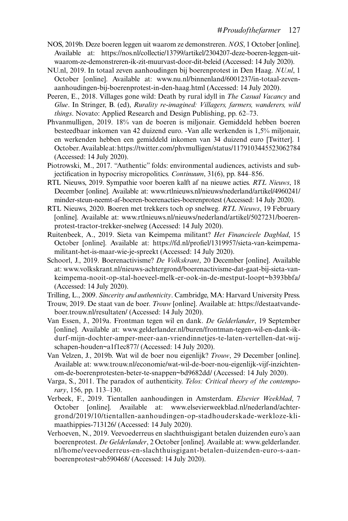- NOS, 2019b. Deze boeren leggen uit waarom ze demonstreren. *NOS*, 1 October [online]. Available at: [https://nos.nl/collectie/13799/artikel/2304207-deze-boeren-leggen-uit](https://nos.nl)[waarom-ze-demonstreren-ik-zit-muurvast-door-dit-beleid](https://nos.nl) (Accessed: 14 July 2020).
- NU.nl, 2019. In totaal zeven aanhoudingen bij boerenprotest in Den Haag. *NU.nl*, 1 October [online]. Available at: [www.nu.nl/binnenland/6001237/in-totaal-zeven](http://www.nu.nl)[aanhoudingen-bij-boerenprotest-in-den-haag.html](http://www.nu.nl) (Accessed: 14 July 2020).
- Peeren, E., 2018. Villages gone wild: Death by rural idyll in *The Casual Vacancy* and *Glue*. In Stringer, B. (ed), *Rurality re-imagined: Villagers, farmers, wanderers, wild things*. Novato: Applied Research and Design Publishing, pp. 62–73.
- Phvanmulligen, 2019. 18% van de boeren is miljonair. Gemiddeld hebben boeren besteedbaar inkomen van 42 duizend euro. -Van alle werkenden is 1,5% miljonair, en werkenden hebben een gemiddeld inkomen van 34 duizend euro [Twitter]. 1 October. Available at: [https://twitter.com/phvmulligen/status/1179103445523062784](https://twitter.com) (Accessed: 14 July 2020).
- Piotrowski, M., 2017. "Authentic" folds: environmental audiences, activists and subjectification in hypocrisy micropolitics. *Continuum*, 31(6), pp. 844–856.
- RTL Nieuws, 2019. Sympathie voor boeren kalft af na nieuwe acties. *RTL Nieuws*, 18 December [online]. Available at: [www.rtlnieuws.nl/nieuws/nederland/artikel/4960241/](http://www.rtlnieuws.nl) [minder-steun-neemt-af-boeren-boerenacties-boerenprotest](http://www.rtlnieuws.nl) (Accessed: 14 July 2020).
- RTL Nieuws, 2020. Boeren met trekkers toch op snelweg. *RTL Nieuws*, 19 February [online]. Available at: [www.rtlnieuws.nl/nieuws/nederland/artikel/5027231/boeren](http://www.rtlnieuws.nl)[protest-tractor-trekker-snelweg](http://www.rtlnieuws.nl) (Accessed: 14 July 2020).
- Ruitenbeek, A., 2019. Sieta van Keimpema militant? *Het Financieele Dagblad*, 15 October [online]. Available at: [https://fd.nl/profiel/1319957/sieta-van-keimpema](https://fd.nl)[militant-het-is-maar-wie-je-spreekt](https://fd.nl) (Accessed: 14 July 2020).
- Schoorl, J., 2019. Boerenactivisme? *De Volkskrant*, 20 December [online]. Available at: [www.volkskrant.nl/nieuws-achtergrond/boerenactivisme-dat-gaat-bij-sieta-van](http://www.volkskrant.nl)[keimpema-nooit-op-stal-hoeveel-melk-er-ook-in-de-mestput-loopt~b393bbfa/](http://www.volkskrant.nl) (Accessed: 14 July 2020).
- Trilling, L., 2009. *Sincerity and authenticity*. Cambridge, MA: Harvard University Press.
- Trouw, 2019. De staat van de boer. *Trouw* [online]. Available at: [https://destaatvande](https://destaatvandeboer.trouw.nl)[boer.trouw.nl/resultaten/](https://destaatvandeboer.trouw.nl) (Accessed: 14 July 2020).
- Van Essen, J., 2019a. Frontman tegen wil en dank. *De Gelderlander*, 19 September [online]. Available at: [www.gelderlander.nl/buren/frontman-tegen-wil-en-dank-ik](http://www.gelderlander.nl)[durf-mijn-dochter-amper-meer-aan-vriendinnetjes-te-laten-vertellen-dat-wij](http://www.gelderlander.nl)[schapen-houden~a1f1ec877/](http://www.gelderlander.nl) (Accessed: 14 July 2020).
- Van Velzen, J., 2019b. Wat wil de boer nou eigenlijk? *Trouw*, 29 December [online]. Available at: [www.trouw.nl/economie/wat-wil-de-boer-nou-eigenlijk-vijf-inzichten](http://www.trouw.nl)[om-de-boerenprotesten-beter-te-snappen~bd9682dd/](http://www.trouw.nl) (Accessed: 14 July 2020).
- Varga, S., 2011. The paradox of authenticity. *Telos: Critical theory of the contemporary*, 156, pp. 113–130.
- Verbeek, F., 2019. Tientallen aanhoudingen in Amsterdam. *Elsevier Weekblad*, 7 October [online]. Available at: [www.elsevierweekblad.nl/nederland/achter](http://www.elsevierweekblad.nl)[grond/2019/10/tientallen-aanhoudingen-op-stadhouderskade-werkloze-kli](http://www.elsevierweekblad.nl)[maathippies-713126/](http://www.elsevierweekblad.nl) (Accessed: 14 July 2020).
- Verhoeven, N., 2019. Veevoederreus en slachthuisgigant betalen duizenden euro's aan boerenprotest. *De Gelderlander*, 2 October [online]. Available at: [www.gelderlander.](http://www.gelderlander.nl) [nl/home/veevoederreus-en-slachthuisgigant-betalen-duizenden-euro-s-aan](http://www.gelderlander.nl)[boerenprotest~ab590468/](http://www.gelderlander.nl) (Accessed: 14 July 2020).